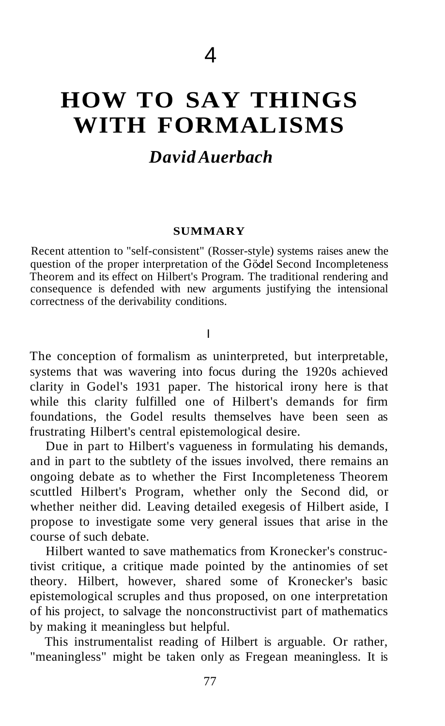# **HOW TO SAY THINGS WITH FORMALISMS**

# *DavidAuerbach*

#### **SUMMARY**

Recent attention to "self-consistent" (Rosser-style) systems raises anew the question of the proper interpretation of the Godel Second Incompleteness Theorem and its effect on Hilbert's Program. The traditional rendering and consequence is defended with new arguments justifying the intensional correctness of the derivability conditions.

I

The conception of formalism as uninterpreted, but interpretable, systems that was wavering into focus during the 1920s achieved clarity in Godel's 1931 paper. The historical irony here is that while this clarity fulfilled one of Hilbert's demands for firm foundations, the Godel results themselves have been seen as frustrating Hilbert's central epistemological desire.

Due in part to Hilbert's vagueness in formulating his demands, and in part to the subtlety of the issues involved, there remains an ongoing debate as to whether the First Incompleteness Theorem scuttled Hilbert's Program, whether only the Second did, or whether neither did. Leaving detailed exegesis of Hilbert aside, I propose to investigate some very general issues that arise in the course of such debate.

Hilbert wanted to save mathematics from Kronecker's constructivist critique, a critique made pointed by the antinomies of set theory. Hilbert, however, shared some of Kronecker's basic epistemological scruples and thus proposed, on one interpretation of his project, to salvage the nonconstructivist part of mathematics by making it meaningless but helpful.

This instrumentalist reading of Hilbert is arguable. Or rather, "meaningless" might be taken only as Fregean meaningless. It is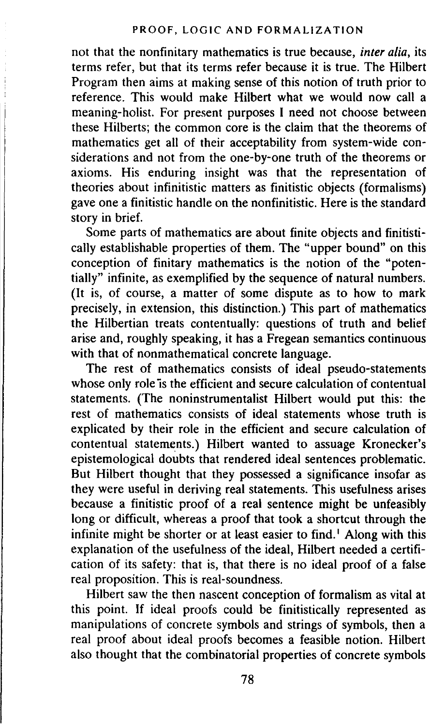not that the nonfinitary mathematics is true because, *inter alia,* its terms refer, but that its terms refer because it is true. The Hilbert Program then aims at making sense of this notion of truth prior to reference. This would make Hilbert what we would now call a meaning-holist. For present purposes I need not choose between these Hilberts; the common core is the claim that the theorems of mathematics get all of their acceptability from system-wide considerations and not from the one-by-one truth of the theorems or axioms. His enduring insight was that the representation of theories about infinitistic matters as finitistic objects (formalisms) gave one a finitistic handle on the nonfinitistic. Here is the standard story in brief.

Some parts of mathematics are about finite objects and finitistically establishable properties of them. The "upper bound" on this conception of finitary mathematics is the notion of the "potentially" infinite, as exemplified by the sequence of natural numbers. (It is, of course, a matter of some dispute as to how to mark precisely, in extension, this distinction.) This part of mathematics the Hilbertian treats contentually: questions of truth and belief arise and, roughly speaking, it has a Fregean semantics continuous with that of nonmathematical concrete language.

The rest of mathematics consists of ideal pseudo-statements whose only role is the efficient and secure calculation of contentual statements. (The noninstrumentalist Hilbert would put this: the rest of mathematics consists of ideal statements whose truth is explicated by their role in the efficient and secure calculation of contentual statements.) Hilbert wanted to assuage Kronecker's epistemological doubts that rendered ideal sentences problematic. But Hilbert thought that they possessed a significance insofar as they were useful in deriving real statements. This usefulness arises because a finitistic proof of a real sentence might be unfeasibly long or difficult, whereas a proof that took a shortcut through the infinite might be shorter or at least easier to find.<sup>1</sup> Along with this explanation of the usefulness of the ideal, Hilbert needed a certification of its safety: that is, that there is no ideal proof of a false real proposition. This is real-soundness.

Hilbert saw the then nascent conception of formalism as vital at this point. If ideal proofs could be finitistically represented as manipulations of concrete symbols and strings of symbols, then a real proof about ideal proofs becomes a feasible notion. Hilbert also thought that the combinatorial properties of concrete symbols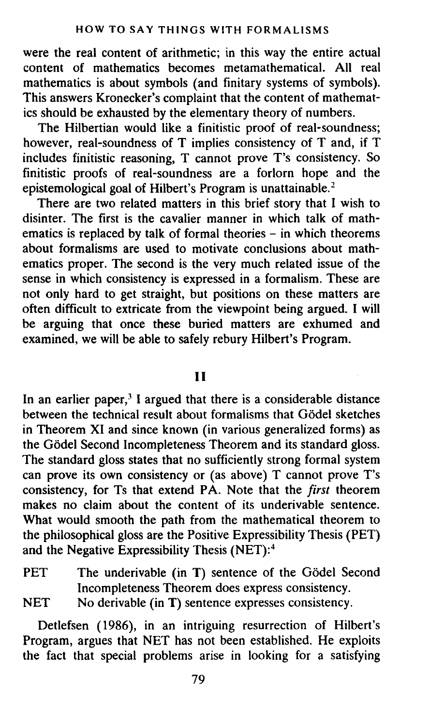were the real content of arithmetic; in this way the entire actual content of mathematics becomes metamathematical. All real mathematics is about symbols (and finitary systems of symbols). This answers Kronecker's complaint that the content of mathematics should be exhausted by the elementary theory of numbers.

The Hilbertian would like a finitistic proof of real-soundness; however, real-soundness of T implies consistency of T and, if T includes finitistic reasoning, T cannot prove T's consistency. So finitistic proofs of real-soundness are a forlorn hope and the epistemological goal of Hilbert's Program is unattainable.<sup>2</sup>

There are two related matters in this brief story that I wish to disinter. The first is the cavalier manner in which talk of mathematics is replaced by talk of formal theories - in which theorems about formalisms are used to motivate conclusions about mathematics proper. The second is the very much related issue of the sense in which consistency is expressed in a formalism. These are not only hard to get straight, but positions on these matters are often difficult to extricate from the viewpoint being argued. I will be arguing that once these buried matters are exhumed and examined, we will be able to safely rebury Hilbert's Program.

### II

In an earlier paper,<sup>3</sup> I argued that there is a considerable distance between the technical result about formalisms that Gödel sketches in Theorem XI and since known (in various generalized forms) as the Gödel Second Incompleteness Theorem and its standard gloss. The standard gloss states that no sufficiently strong formal system can prove its own consistency or (as above) T cannot prove T's consistency, for Ts that extend PA. Note that the *first* theorem makes no claim about the content of its underivable sentence. What would smooth the path from the mathematical theorem to the philosophical gloss are the Positive Expressibility Thesis (PET) and the Negative Expressibility Thesis (NET):4

PET The underivable (in T) sentence of the Gödel Second Incompleteness Theorem does express consistency.

NET No derivable (in T) sentence expresses consistency.

Detlefsen (1986), in an intriguing resurrection of Hilbert's Program, argues that NET has not been established. He exploits the fact that special problems arise in looking for a satisfying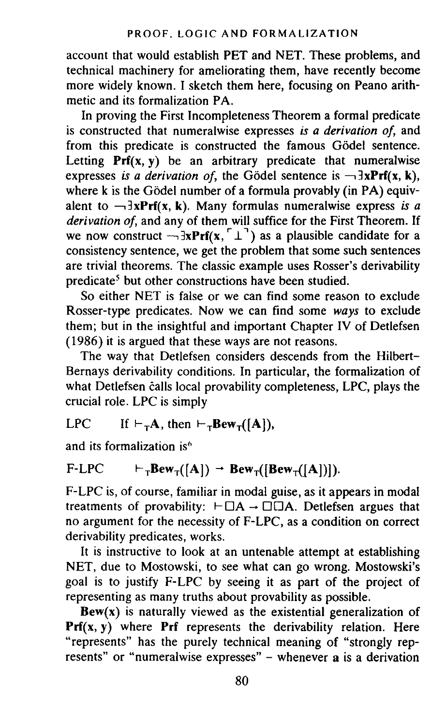account that would establish PET and NET. These problems, and technical machinery for ameliorating them, have recently become more widely known. I sketch them here, focusing on Peano arithmetic and its formalization PA.

In proving the First Incompleteness Theorem a formal predicate is constructed that numeralwise expresses *is a derivation of,* and from this predicate is constructed the famous Gödel sentence. Letting  $Prf(x, y)$  be an arbitrary predicate that numeralwise expresses *is a derivation of*, the Gödel sentence is  $\neg \exists x \mathbf{Prf}(x, k)$ , where k is the Gödel number of a formula provably (in PA) equivalent to  $\neg \exists x \Pr f(x, k)$ . Many formulas numeralwise express *is a derivation of,* and any of them will suffice for the First Theorem. If we now construct  $\neg \exists x \Pr f(x, \ulcorner \bot \urcorner)$  as a plausible candidate for a consistency sentence, we get the problem that some such sentences are trivial theorems. The classic example uses Rosser's derivability predicate<sup>5</sup> but other constructions have been studied.

So either NET is false or we can find some reason to exclude Rosser-type predicates. Now we can find some *ways* to exclude them; but in the insightful and important Chapter IV of Detlefsen (1986) it is argued that these ways are not reasons.

The way that Detlefsen considers descends from the Hilbert-Bernays derivability conditions. In particular, the formalization of what Detlefsen calls local provability completeness, LPC, plays the crucial role. LPC is simply

LPC If  $\vdash_{T}A$ , then  $\vdash_{T}Bew_{T}([A]),$ 

and its formalization is<sup>6</sup>

F-LPC  $\vdash_{\tau} \text{Bew}_{\tau}([A]) \rightarrow \text{Bew}_{\tau}([Bew_{\tau}([A])]).$ 

F-LPC is, of course, familiar in modal guise, as it appears in modal treatments of provability:  $\vdash \Box A \rightarrow \Box \Box A$ . Detlefsen argues that no argument for the necessity of F-LPC, as a condition on correct derivability predicates, works.

It is instructive to look at an untenable attempt at establishing NET, due to Mostowski, to see what can go wrong. Mostowski's goal is to justify F-LPC by seeing it as part of the project of representing as many truths about provability as possible.

 $Bew(x)$  is naturally viewed as the existential generalization of **Prf(x, y)** where **Prf** represents the derivability relation. Here "represents" has the purely technical meaning of "strongly represents" or "numeralwise expresses" - whenever a is a derivation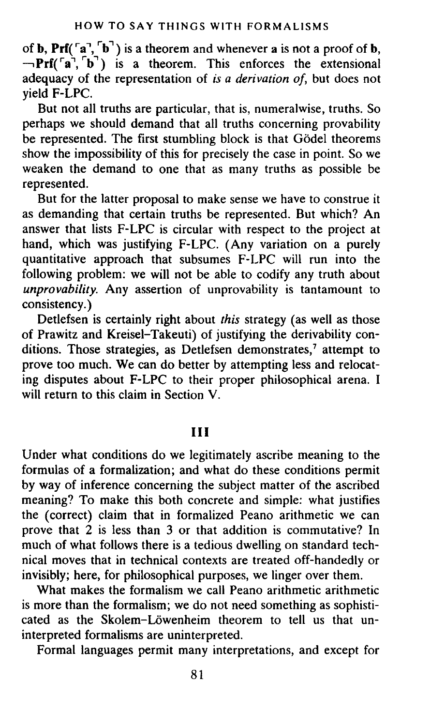of **b**, **Prf**( $\lceil a \rceil$ ,  $\lceil b \rceil$ ) is a theorem and whenever a is not a proof of **b**,  $\overrightarrow{\text{Prf}}(\ulcorner a\urcorner, \ulcorner b\urcorner)$  is a theorem. This enforces the extensional adequacy of the representation of *is a derivation of,* but does not yield F-LPC.

But not all truths are particular, that is, numeralwise, truths. So perhaps we should demand that all truths concerning provability be represented. The first stumbling block is that Godel theorems show the impossibility of this for precisely the case in point. So we weaken the demand to one that as many truths as possible be represented.

But for the latter proposal to make sense we have to construe it as demanding that certain truths be represented. But which? An answer that lists F-LPC is circular with respect to the project at hand, which was justifying F-LPC. (Any variation on a purely quantitative approach that subsumes F-LPC will run into the following problem: we will not be able to codify any truth about *unprovability.* Any assertion of unprovability is tantamount to consistency.)

Detlefsen is certainly right about *this* strategy (as well as those of Prawitz and Kreisel-Takeuti) of justifying the derivability conditions. Those strategies, as Detlefsen demonstrates,<sup>7</sup> attempt to prove too much. We can do better by attempting less and relocating disputes about F-LPC to their proper philosophical arena. I will return to this claim in Section V.

### **III**

Under what conditions do we legitimately ascribe meaning to the formulas of a formalization; and what do these conditions permit by way of inference concerning the subject matter of the ascribed meaning? To make this both concrete and simple: what justifies the (correct) claim that in formalized Peano arithmetic we can prove that 2 is less than 3 or that addition is commutative? In much of what follows there is a tedious dwelling on standard technical moves that in technical contexts are treated off-handedly or invisibly; here, for philosophical purposes, we linger over them.

What makes the formalism we call Peano arithmetic arithmetic is more than the formalism; we do not need something as sophisticated as the Skolem-Löwenheim theorem to tell us that uninterpreted formalisms are uninterpreted.

Formal languages permit many interpretations, and except for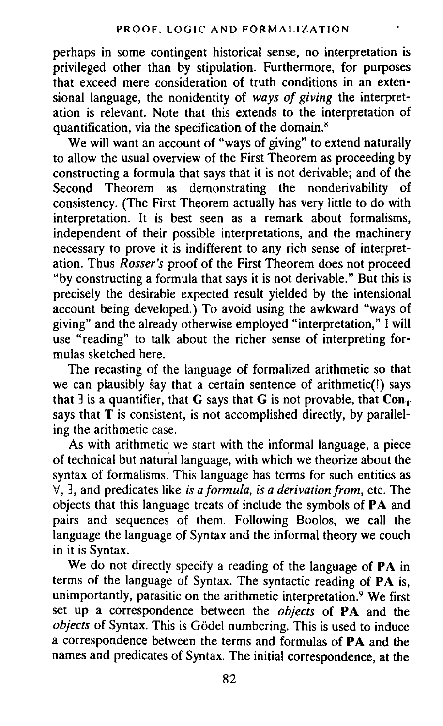perhaps in some contingent historical sense, no interpretation is privileged other than by stipulation. Furthermore, for purposes that exceed mere consideration of truth conditions in an extensional language, the nonidentity of *ways of giving* the interpretation is relevant. Note that this extends to the interpretation of quantification, via the specification of the domain.<sup>8</sup>

We will want an account of "ways of giving" to extend naturally to allow the usual overview of the First Theorem as proceeding by constructing a formula that says that it is not derivable; and of the Second Theorem as demonstrating the nonderivability of demonstrating the nonderivability of consistency. (The First Theorem actually has very little to do with interpretation. It is best seen as a remark about formalisms, independent of their possible interpretations, and the machinery necessary to prove it is indifferent to any rich sense of interpretation. Thus *Rosser's* proof of the First Theorem does not proceed "by constructing a formula that says it is not derivable." But this is precisely the desirable expected result yielded by the intensional account being developed.) To avoid using the awkward "ways of giving" and the already otherwise employed "interpretation," I will use "reading" to talk about the richer sense of interpreting formulas sketched here.

The recasting of the language of formalized arithmetic so that we can plausibly say that a certain sentence of arithmetic(!) says that  $\exists$  is a quantifier, that G says that G is not provable, that Con<sub>T</sub> says that **T** is consistent, is not accomplished directly, by paralleling the arithmetic case.

As with arithmetic we start with the informal language, a piece of technical but natural language, with which we theorize about the syntax of formalisms. This language has terms for such entities as If, 3, and predicates like *is a formula, is a deri vation from,* etc. The objects that this language treats of include the symbols of **PA** and pairs and sequences of them. Following Boolos, we call the language the language of Syntax and the informal theory we couch in it is Syntax.

We do not directly specify a reading of the language of **PA** in terms of the language of Syntax. The syntactic reading of PA is, unimportantly, parasitic on the arithmetic interpretation.<sup>9</sup> We first set up a correspondence between the *objects* of PA and the *objects* of Syntax. This is Gödel numbering. This is used to induce a correspondence between the terms and formulas of PA and the names and predicates of Syntax. The initial correspondence, at the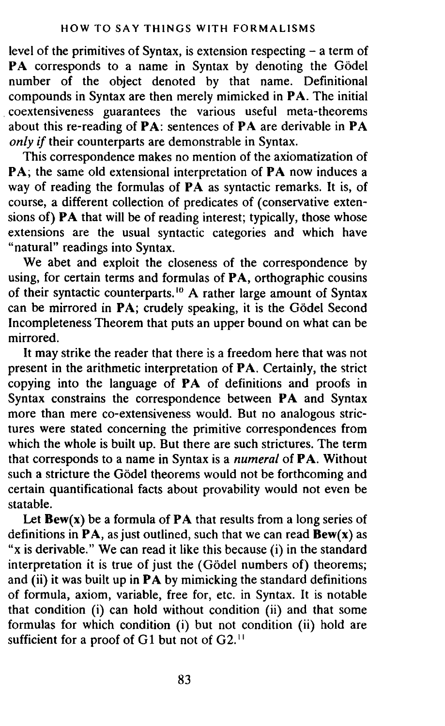level of the primitives of Syntax, is extension respecting  $-$  a term of PA corresponds to a name in Syntax by denoting the Gödel number of the object denoted by that name. Definitional compounds in Syntax are then merely mimicked in PA. The initial . coextensiveness guarantees the various useful meta-theorems about this re-reading of PA: sentences of PA are derivable in PA *only if* their counterparts are demonstrable in Syntax.

This correspondence makes no mention of the axiomatization of PA; the same old extensional interpretation of PA now induces a way of reading the formulas of  $\overrightarrow{PA}$  as syntactic remarks. It is, of course, a different collection of predicates of (conservative extensions of) **PA** that will be of reading interest; typically, those whose extensions are the usual syntactic categories and which have "natural" readings into Syntax.

We abet and exploit the closeness of the correspondence by using, for certain terms and formulas of PA, orthographic cousins of their syntactic counterparts.<sup>10</sup> A rather large amount of Syntax can be mirrored in PA; crudely speaking, it is the Gödel Second Incompleteness Theorem that puts an upper bound on what can be mirrored.

It may strike the reader that there is a freedom here that was not present in the arithmetic interpretation of PA. Certainly, the strict copying into the language of PA of definitions and proofs in Syntax constrains the correspondence between PA and Syntax more than mere co-extensiveness would. But no analogous strictures were stated concerning the primitive correspondences from which the whole is built up. But there are such strictures. The term that corresponds to a name in Syntax is a *numeral* of PA. Without such a stricture the Gödel theorems would not be forthcoming and certain quantificational facts about provability would not even be statable.

Let  $Bew(x)$  be a formula of  $PA$  that results from a long series of definitions in  $PA$ , as just outlined, such that we can read  $Bew(x)$  as "x is derivable." We can read it like this because (i) in the standard interpretation it is true of just the (Gödel numbers of) theorems; and  $(i)$  it was built up in  $\mathbf{PA}$  by mimicking the standard definitions of formula, axiom, variable, free for, etc. in Syntax. It is notable that condition (i) can hold without condition (ii) and that some formulas for which condition (i) but not condition (ii) hold are sufficient for a proof of G1 but not of G2. $\mathsf{I}$ <sup>1</sup>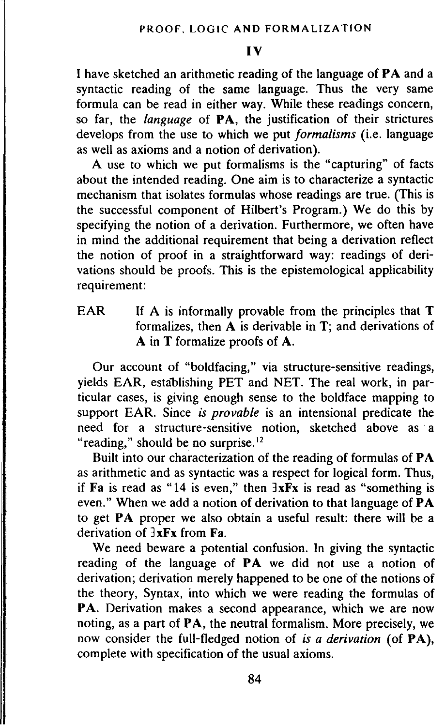I have sketched an arithmetic reading of the language of PA and a syntactic reading of the same language. Thus the very same formula can be read in either way. While these readings concern, so far, the *language* of PA, the justification of their strictures develops from the use to which we put *formalisms* (Le. language as well as axioms and a notion of derivation).

A use to which we put formalisms is the "capturing" of facts about the intended reading. One aim is to characterize a syntactic mechanism that isolates formulas whose readings are true. (This is the successful component of Hilbert's Program.) We do this by specifying the notion of a derivation. Furthermore, we often have in mind the additional requirement that being a derivation reflect the notion of proof in a straightforward way: readings of derivations should be proofs. This is the epistemological applicability requirement:

#### EAR If A is informally provable from the principles that  $T$ formalizes, then A is derivable in T; and derivations of A in T formalize proofs of A.

Our account of "boldfacing," via structure-sensitive readings, yields EAR, establishing PET and NET. The real work, in particular cases, is giving enough sense to the boldface mapping to support EAR. Since *is provable* is an intensional predicate the need for a structure-sensitive notion, sketched above as a "reading," should be no surprise.<sup>12</sup>

Built into our characterization of the reading of formulas of **PA** as arithmetic and as syntactic was a respect for logical form. Thus, if Fa is read as "14 is even," then  $3xFx$  is read as "something is even." When we add a notion of derivation to that language of **PA** to get PA proper we also obtain a useful result: there will be a derivation of 3xFx from Fa.

We need beware a potential confusion. In giving the syntactic reading of the language of  $PA$  we did not use a notion of derivation; derivation merely happened to be one of the notions of the theory, Syntax, into which we were reading the formulas of PA. Derivation makes a second appearance, which we are now noting, as a part of PA, the neutral formalism. More precisely, we now consider the full-fledged notion of *is a derivation* (of PA), complete with specification of the usual axioms.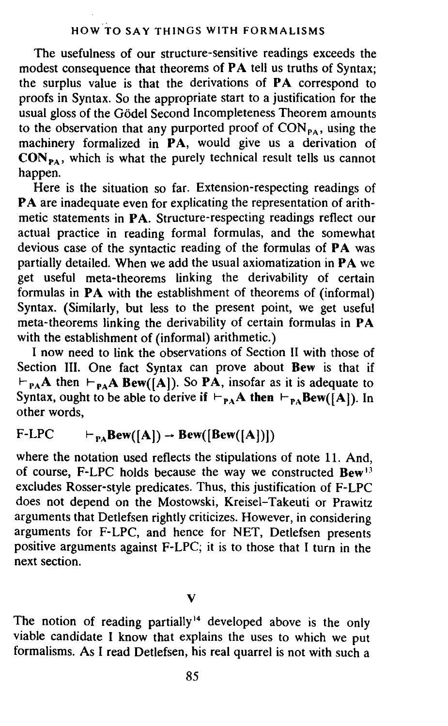The usefulness of our structure-sensitive readings exceeds the modest consequence that theorems of PA tell us truths of Syntax: the surplus value is that the derivations of PA correspond to proofs in Syntax. So the appropriate start to a justification for the usual gloss of the G6del Second Incompleteness Theorem amounts to the observation that any purported proof of  $CON_{PA}$ , using the machinery formalized in PA, would give us a derivation of  $CON_{PA}$ , which is what the purely technical result tells us cannot happen.

Here is the situation so far. Extension-respecting readings of PA are inadequate even for explicating the representation of arithmetic statements in PA. Structure-respecting readings reflect our actual practice in reading formal formulas, and the somewhat devious case of the syntactic reading of the formulas of PA was partially detailed. When we add the usual axiomatization in  $PA$  we get useful meta-theorems linking the derivability of certain formulas in PA with the establishment of theorems of (informal) Syntax. (Similarly, but less to the present point, we get useful meta-theorems linking the derivability of certain formulas in PA with the establishment of (informal) arithmetic.)

I now need to link the observations of Section II with those of Section III. One fact Syntax can prove about Bew is that if  $\vdash_{\mathbf{PA}} A$  then  $\vdash_{\mathbf{PA}} A$  Bew([A]). So PA, insofar as it is adequate to Syntax, ought to be able to derive if  $\vdash_{p_{A}} A$  then  $\vdash_{p_{A}} Bew([A])$ . In other words,

 $F\text{-LPC}$   $\vdash_{P\text{A}}\text{Bew}([A]) \rightarrow \text{Bew}([Bew([A])])$ 

where the notation used reflects the stipulations of note 11. And, of course, F-LPC holds because the way we constructed  $Bew^{13}$ excludes Rosser-style predicates. Thus, this justification of F-LPC does not depend on the Mostowski, Kreisel-Takeuti or Prawitz arguments that Detlefsen rightly criticizes. However, in considering arguments for F-LPC, and hence for NET, Detlefsen presents positive arguments against F-LPC; it is to those that I turn in the next section.

v

The notion of reading partially<sup>14</sup> developed above is the only viable candidate I know that explains the uses to which we put formalisms. As I read Detlefsen, his real quarrel is not with such a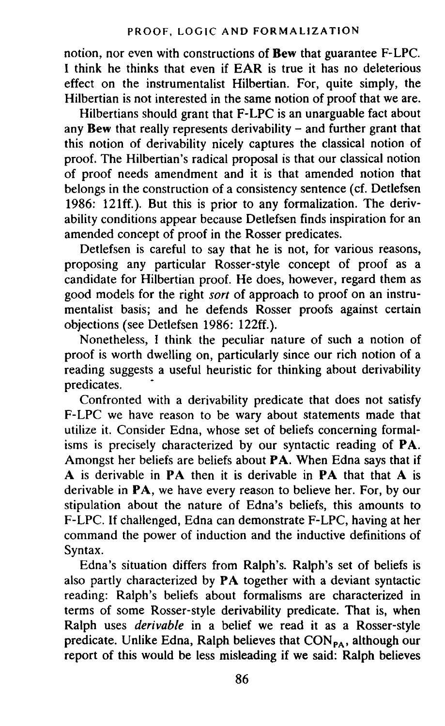notion, nor even with constructions of **Bew** that guarantee F-LPC. I think he thinks that even if EAR is true it has no deleterious effect on the instrumentalist Hilbertian. For, quite simply, the Hilbertian is not interested in the same notion of proof that we are.

Hilbertians should grant that F-LPC is an unarguable fact about any Bew that really represents derivability - and further grant that this notion of derivability nicely captures the classical notion of proof. The Hilbertian's radical proposal is that our classical notion of proof needs amendment and it is that amended notion that belongs in the construction of a consistency sentence (cf. Detlefsen 1986: 121ff.). But this is prior to any formalization. The derivability conditions appear because Detlefsen finds inspiration for an amended concept of proof in the Rosser predicates.

Detlefsen is careful to say that he is not, for various reasons, proposing any particular Rosser-style concept of proof as a candidate for Hilbertian proof. He does, however, regard them as good models for the right *sort* of approach to proof on an instrumentalist basis; and he defends Rosser proofs against certain objections (see Detlefsen 1986: 122ff.).

Nonetheless, I think the peculiar nature of such a notion of proof is worth dwelling on, particularly since our rich notion of a reading suggests a useful heuristic for thinking about derivability predicates. .

Confronted with a derivability predicate that does not satisfy F-LPC we have reason to be wary about statements made that utilize it. Consider Edna, whose set of beliefs concerning formalisms is precisely characterized by our syntactic reading of PA. Amongst her beliefs are beliefs about PA. When Edna says that if A is derivable in PA then it is derivable in PA that that A is derivable in PA, we have every reason to believe her. For, by our stipulation about the nature of Edna's beliefs, this amounts to F-LPC. If challenged, Edna can demonstrate F-LPC, having at her command the power of induction and the inductive definitions of Syntax.

Edna's situation differs from Ralph's. Ralph's set of beliefs is also partly characterized by PA together with a deviant syntactic reading: Ralph's beliefs about formalisms are characterized in terms of some Rosser-style derivability predicate. That is, when Ralph uses *derivable* in a belief we read it as a Rosser-style predicate. Unlike Edna, Ralph believes that CON<sub>PA</sub>, although our report of this would be less misleading if we said: Ralph believes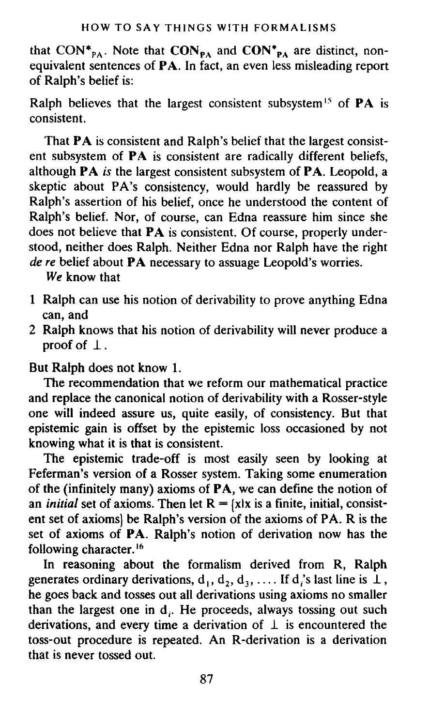that CON\*<sub>PA</sub>. Note that  $CONF_{PA}$  and  $CONF_{PA}^*$  are distinct, nonequivalent sentences of PA. In fact, an even less misleading report of Ralph's belief is:

Ralph believes that the largest consistent subsystem<sup>15</sup> of  $PA$  is consistent.

That PA is consistent and Ralph's belief that the largest consistent subsystem of PA is consistent are radically different beliefs, although  $PA$  is the largest consistent subsystem of  $PA$ . Leopold, a skeptic about PA's consistency, would hardly be reassured by Ralph's assertion of his belief, once he understood the content of Ralph's belief. Nor, of course, can Edna reassure him since she does not believe that PA is consistent. Of course, properly understood, neither does Ralph. Neither Edna nor Ralph have the right *de re* belief about PA necessary to assuage Leopold's worries.

*We* know that

- 1 Ralph can use his notion of derivability to prove anything Edna can,and
- 2 Ralph knows that his notion of derivability will never produce a proof of  $\perp$ .

But Ralph does not know 1.

The recommendation that we reform our mathematical practice and replace the canonical notion of derivability with a Rosser-style one will indeed assure us, quite easily, of consistency. But that epistemic gain is offset by the epistemic loss occasioned by not knowing what it is that is consistent.

The epistemic trade-off is most easily seen by looking at Feferman's version of a Rosser system. Taking some enumeration of the (infinitely many) axioms of PA, we can define the notion of an *initial* set of axioms. Then let  $R = \{x | x$  is a finite, initial, consistent set of axioms} be Ralph's version of the axioms of PA. R is the set of axioms of PA. Ralph's notion of derivation now has the following character.<sup>16</sup>

In reasoning about the formalism derived from R, Ralph generates ordinary derivations,  $d_1, d_2, d_3, \ldots$ . If d/s last line is  $\perp$ , he goes back and tosses out all derivations using axioms no smaller than the largest one in  $d_i$ . He proceeds, always tossing out such derivations, and every time a derivation of  $\perp$  is encountered the toss-out procedure is repeated. An R-derivation is a derivation that is never tossed out.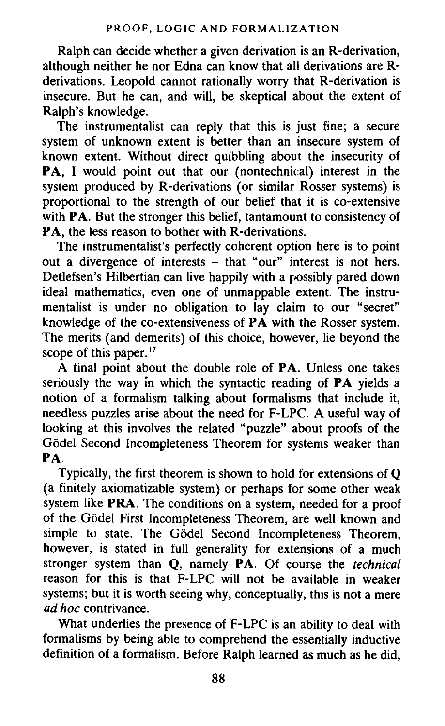Ralph can decide whether a given derivation is an R-derivation, although neither he nor Edna can know that all derivations are Rderivations. Leopold cannot rationally worry that R-derivation is insecure. But he can, and will, be skeptical about the extent of Ralph's knowledge.

The instrumentalist can reply that this is just fine; a secure system of unknown extent is better than an insecure system of known extent. Without direct quibbling about the insecurity of PA, I would point out that our (nontechnical) interest in the system produced by R-derivations (or similar Rosser systems) is proportional to the strength of our belief that it is co-extensive with PA. But the stronger this belief, tantamount to consistency of PA, the less reason to bother with R-derivations.

The instrumentalist's perfectly coherent option here is to point out a divergence of interests - that "our" interest is not hers. Detlefsen's Hilbertian can live happily with a possibly pared down ideal mathematics, even one of unmappable extent. The instrumentalist is under no obligation to lay claim to our "secret" knowledge of the co-extensiveness of PA with the Rosser system. The merits (and demerits) of this choice, however, lie beyond the scope of this paper. $17$ 

A final point about the double role of PA. Unless one takes seriously the way in which the syntactic reading of PA yields a notion of a formalism talking about formalisms that include it, needless puzzles arise about the need for F-LPC. A useful way of looking at this involves the related "puzzle" about proofs of the Gödel Second Incompleteness Theorem for systems weaker than PA.

Typically, the first theorem is shown to hold for extensions of  $Q$ (a finitely axiomatizable system) or perhaps for some other weak system like PRA. The conditions on a system, needed for a proof of the G6del First Incompleteness Theorem, are well known and simple to state. The Gödel Second Incompleteness Theorem, however, is stated in full generality for extensions of a much stronger system than Q, namely PA. Of course the *technical* reason for this is that F-LPC will not be available in weaker systems; but it is worth seeing why, conceptually, this is not a mere *ad hoc* contrivance.

What underlies the presence of F-LPC is an ability to deal with formalisms by being able to comprehend the essentially inductive definition of a formalism. Before Ralph learned as much as he did,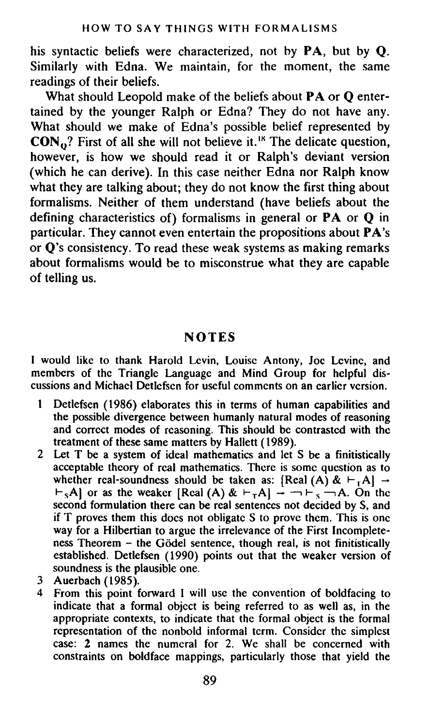his syntactic beliefs were characterized, not by PA, but by Q. Similarly with Edna. We maintain, for the moment, the same readings of their beliefs.

What should Leopold make of the beliefs about PA or Q entertained by the younger Ralph or Edna? They do not have any. What should we make of Edna's possible belief represented by  $COM<sub>0</sub>$ ? First of all she will not believe it.<sup>18</sup> The delicate question, however, is how we should read it or Ralph's deviant version (which he can derive). **In** this case neither Edna nor Ralph know what they are talking about; they do not know the first thing about formalisms. Neither of them understand (have beliefs about the defining characteristics of) formalisms in general or PA or Q in particular. They cannot even entertain the propositions about PA's or Q's consistency. To read these weak systems as making remarks about formalisms would be to misconstrue what they are capable of telling us.

## **NOTES**

I would like to thank Harold Levin, Louise Antony, Joe Levine, and members of the Triangle Language and Mind Group for helpful discussions and Michael Detlefsen for useful comments on an earlier version.

- Detlefsen (1986) elaborates this in terms of human capabilities and  $\mathbf{1}$ the possible divergence between humanly natural modes of reasoning and correct modes of reasoning. This should be contrasted with the treatment of these same matters by Hallett (1989).
- 2 Let T be a system of ideal mathematics and let S be a finitistieally acceptable theory of real mathematics. There is some question as to whether real-soundness should be taken as:  $[Real (A) & F_{T}A] \rightarrow$  $\vdash_{s}A$  or as the weaker [Real (A) &  $\vdash_{T}A$ ]  $\rightarrow \neg \vdash_{s} \neg A$ . On the second formulation there can be real sentences not decided by S, and if T proves them this does not obligate S to prove them. This is one way for a Hilbertian to argue the irrelevance of the First Incompleteness Theorem - the Gödel sentence, though real, is not finitistically established. Detlefsen (1990) points out that the weaker version of soundness is the plausible one.
- 3 Auerbach (1985).
- 4 From this point forward I will use the convention of boldfacing to indicate that a formal object is being referred to as well as, in the appropriate contexts, to indicate that the formal object is the formal representation of the nonbold informal term. Consider the simplest case: 2 names the numeral for 2. We shall be concerned with constraints on boldface mappings, particularly those that yield the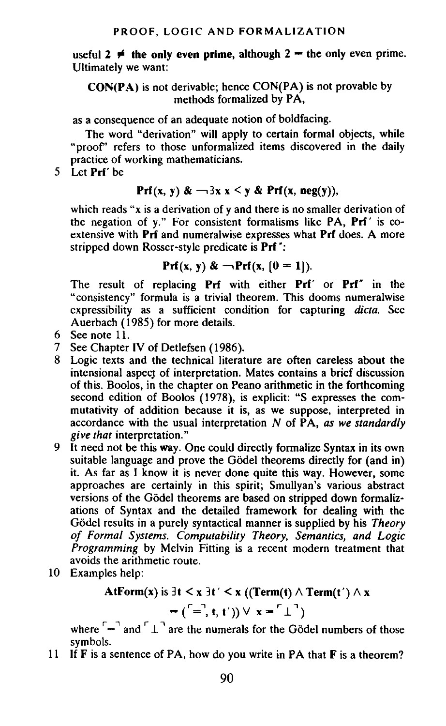useful 2  $\neq$  the only even prime, although 2 = the only even prime. Ultimately we want:

CON(PA) is not derivable; hence CON(PA) is not provable by methods formalized by PA,

as a consequence of an adequate notion of boldfacing.

The word "derivation" will apply to certain formal objects, while "proof' refers to those unformalized items discovered in the daily practice of working mathematicians.

5 Let Pri' be

$$
Prf(x, y) & \neg \exists x \ x < y \ \& Prf(x, neg(y)),
$$

which reads "x is a derivation of y and there is no smaller derivation of the negation of y." For consistent formalisms like PA, Pri' is coextensive with Prf and numeralwise expresses what Prf does. A more stripped down Rosser-style predicate is Prf":

$$
Prf(x, y) \& \neg Prf(x, [0 = 1]).
$$

The result of replacing Prf with either Prf' or Prf' in the "consistency" formula is a trivial theorem. This dooms numeralwise exprcssibility as a sufficient condition for capturing *dicta.* Sec Auerbach (1985) for more details.

- 6 See note 11.
- 7 See Chapter IV of Detlefsen (1986).
- 8 Logic texts and the technical literature are often careless about the intensional aspect of interpretation. Mates contains a brief discussion of this. Boolos, in the chapter on Peano arithmetic in the forthcoming second edition of Boolos (1978), is explicit: "S expresses the commutativity of addition because it is, as we suppose, interpreted in accordance with the usual interpretation *N* of PA, *as we standardly give that* interpretation."
- 9 It need not be this way. One could directly formalize Syntax in its own suitable language and prove the Gödel theorems directly for (and in) it. As far as I know it is never done quite this way. However, some approaches are certainly in this spirit; Smullyan's various abstract versions of the Gödel theorems are based on stripped down formalizations of Syntax and the detailed framework for dealing with the Godel results in a purely syntactical manner is supplied by his *Theory of Formal Systems. Computability Theory, Semantics, and Logic Programming* by Melvin Fitting is a recent modern treatment that avoids the arithmetic route.
- 10 Examples help:

AtForm(x) is 
$$
\exists t < x \exists t' < x
$$
 ((Term(t)  $\land$  Term(t')  $\land x$   
= ( $-\frac{1}{2}$ , t, t'))  $\lor$  x =  $-\bot$ <sup>3</sup>)

where  $\ell$  = ' and '  $\perp$  ' are the numerals for the Gödel numbers of those symbols.

11 If  $\mathbf F$  is a sentence of PA, how do you write in PA that  $\mathbf F$  is a theorem?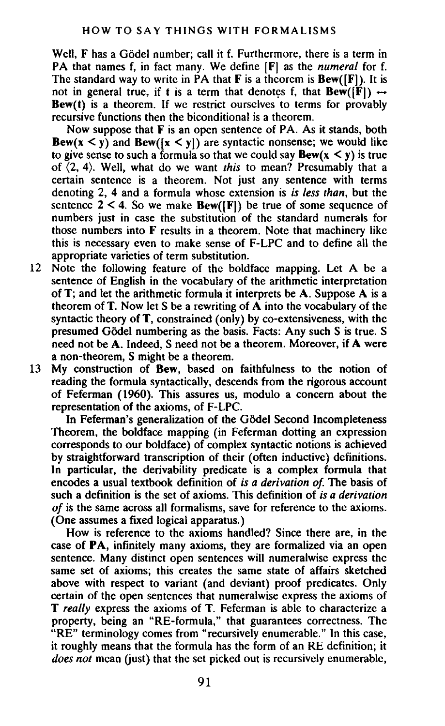Well, F has a Gödel number; call it f. Furthermore, there is a term in PA that names f, in fact many. We define [F] as the *numeral* for f. The standard way to write in  $\overline{PA}$  that  $\overline{F}$  is a theorem is  $Bew([F])$ . It is not in general true, if t is a term that denotes f, that  $Bew(\hat{F}) \rightarrow$ Bew(t) is a theorem. If we restrict ourselves to terms for provably recursive functions then the biconditional is a theorem.

Now suppose that  $F$  is an open sentence of PA. As it stands, both Bew( $x \le y$ ) and Bew( $\{x \le y\}$ ) are syntactic nonsense; we would like to give sense to such a formula so that we could say **Bew**( $x \le y$ ) is true of (2, 4). Well, what do we want *this* to mean? Presumably that a certain sentence is a theorem. Not just any sentence with terms denoting 2, 4 and a formula whose extension is *is less than,* but the sentence  $2 < 4$ . So we make **Bew**([F]) be true of some sequence of numbers just in case the substitution of the standard numerals for those numbers into F results in a theorem. Note that machinery like this is necessary even to make sense of F-LPC and to define all the appropriate varieties of term substitution.

- 12 Note the following feature of the boldface mapping. Let A be a sentence of English in the vocabulary of the arithmetic interpretation of T; and let the arithmetic formula it interprets be A. Suppose A is a theorem of  $T$ . Now let S be a rewriting of  $A$  into the vocabulary of the syntactic theory of T, constrained (only) by co-extensiveness, with the presumed Gödel numbering as the basis. Facts: Any such S is true. S need not be A. Indeed, S need not be a theorem. Moreover, if A were a non-theorem, S might be a theorem.
- 13 My construction of Bew, based on faithfulness to the notion of reading the formula syntactically, descends from the rigorous account of Feferman (1960). This assures us, modulo a concern about the representation of the axioms, of F-LPC.

In Feferman's generalization of the Gödel Second Incompleteness Theorem, the boldface mapping (in Feferman dotting an expression corresponds to our boldface) of complex syntactic notions is achieved by straightforward transcription of their (often inductive) definitions. In particular, the derivability predicate is a complex formula that encodes a usual textbook definition of *is a derivation of* The basis of such a definition is the set of axioms. This definition of *is a derivation of* is the same across all formalisms, save for reference to the axioms. (One assumes a fixed logical apparatus.)

How is reference to the axioms handled? Since there are, in the case of PA, infinitely many axioms, they are formalized via an open sentence. Many distinct open sentences will numeralwise express the same set of axioms; this creates the same state of affairs sketched above with respect to variant (and deviant) proof predicates. Only certain of the open sentences that numeralwise express the axioms of T *really* express the axioms of T. Feferman is able to characterize a property, being an "RE-formula," that guarantees correctness. The "RE" terminology comes from "recursively enumerable." In this case, it roughly means that the formula has the form of an RE definition; it *does not* mean (just) that the set picked out is recursively enumerable,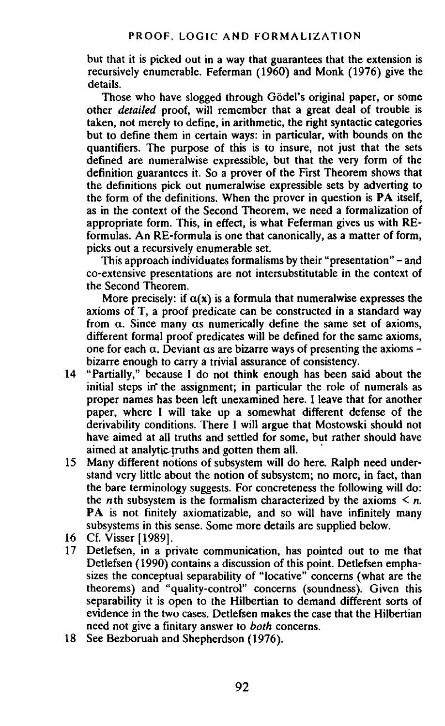but that it is picked out in a way that guarantees that the extension is recursively enumerable. Feferman (1960) and Monk (1976) give the details.

Those who have slogged through Godel's original paper, or some other *detailed* proof, will remember that a great deal of trouble is taken, not merely to define, in arithmetic, the right syntactic categories but to define them in certain ways: in particular, with bounds on the quantifiers. The purpose of this is to insure, not just that the sets defined are numeralwise expressible, but that the very form of the definition guarantees it. So a prover of the First Theorem shows that the definitions pick out numeralwise expressible sets by adverting to the form of the definitions. When the prover in question is PA itself, as in the context of the Second Theorem, we need a formalization of appropriate form. This, in effect, is what Feferman gives us with REformulas. An RE-formula is one that canonically, as a matter of form, picks out a recursively enumerable set.

This approach individuates formalisms by their "presentation" - and co-extensive presentations are not intersubstitutable in the context of the Second Theorem.

More precisely: if  $\alpha(x)$  is a formula that numeralwise expresses the axioms of T, a proof predicate can be constructed in a standard way from a. Since many as numerically define the same set of axioms, different formal proof predicates will be defined for the same axioms, one for each  $\alpha$ . Deviant  $\alpha$ s are bizarre ways of presenting the axioms – bizarre enough to carry a trivial assurance of consistency.

- 14 "Partially," because I do not think enough has been said about the initial steps in the assignment; in particular the role of numerals as proper names has been left unexamined here. I leave that for another paper, where I will take up a somewhat different defense of the derivability conditions. There I will argue that Mostowski should not have aimed at all truths and settled for some, but rather should have aimed at analytic truths and gotten them all.
- 15 Many different notions of subsystem will do here. Ralph need understand very little about the notion of subsystem; no more, in fact, than the bare terminology suggests. For concreteness the following will do: the *n*th subsystem is the formalism characterized by the axioms  $\leq n$ . PA is not finitely axiomatizable, and so will have infinitely many subsystems in this sense. Some more details are supplied below.
- 16 Cf. Visser (1989).
- 17 Detlefsen, in a private communication, has pointed out to me that Detlefsen (1990) contains a discussion of this point. Detlefsen emphasizes the conceptual separability of "locative" concerns (what are the theorems) and "quality-control" concerns (soundness). Given this separability it is open to the Hilbertian to demand different sorts of evidence in the two cases. Detlefsen makes the case that the Hilbertian need not give a finitary answer to *both* concerns.
- 18 See Bezboruah and Shepherdson (1976).